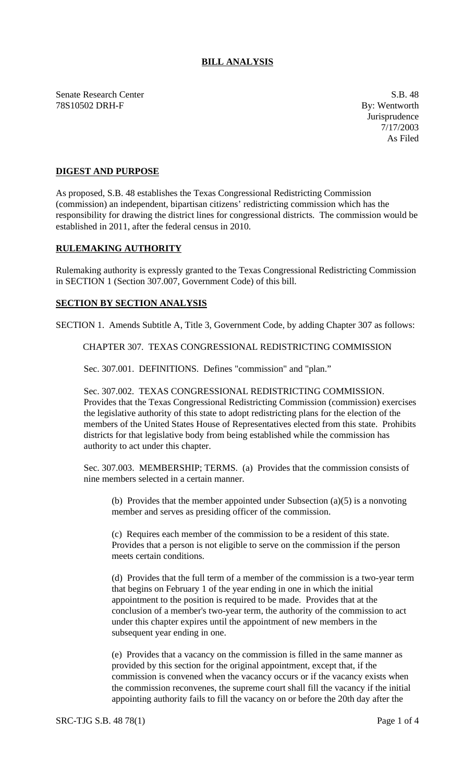## **BILL ANALYSIS**

Senate Research Center S.B. 48 78S10502 DRH-F By: Wentworth

Jurisprudence 7/17/2003 As Filed

## **DIGEST AND PURPOSE**

As proposed, S.B. 48 establishes the Texas Congressional Redistricting Commission (commission) an independent, bipartisan citizens' redistricting commission which has the responsibility for drawing the district lines for congressional districts. The commission would be established in 2011, after the federal census in 2010.

## **RULEMAKING AUTHORITY**

Rulemaking authority is expressly granted to the Texas Congressional Redistricting Commission in SECTION 1 (Section 307.007, Government Code) of this bill.

## **SECTION BY SECTION ANALYSIS**

SECTION 1. Amends Subtitle A, Title 3, Government Code, by adding Chapter 307 as follows:

CHAPTER 307. TEXAS CONGRESSIONAL REDISTRICTING COMMISSION

Sec. 307.001. DEFINITIONS. Defines "commission" and "plan."

Sec. 307.002. TEXAS CONGRESSIONAL REDISTRICTING COMMISSION. Provides that the Texas Congressional Redistricting Commission (commission) exercises the legislative authority of this state to adopt redistricting plans for the election of the members of the United States House of Representatives elected from this state. Prohibits districts for that legislative body from being established while the commission has authority to act under this chapter.

Sec. 307.003. MEMBERSHIP; TERMS. (a) Provides that the commission consists of nine members selected in a certain manner.

(b) Provides that the member appointed under Subsection  $(a)(5)$  is a nonvoting member and serves as presiding officer of the commission.

(c) Requires each member of the commission to be a resident of this state. Provides that a person is not eligible to serve on the commission if the person meets certain conditions.

(d) Provides that the full term of a member of the commission is a two-year term that begins on February 1 of the year ending in one in which the initial appointment to the position is required to be made. Provides that at the conclusion of a member's two-year term, the authority of the commission to act under this chapter expires until the appointment of new members in the subsequent year ending in one.

(e) Provides that a vacancy on the commission is filled in the same manner as provided by this section for the original appointment, except that, if the commission is convened when the vacancy occurs or if the vacancy exists when the commission reconvenes, the supreme court shall fill the vacancy if the initial appointing authority fails to fill the vacancy on or before the 20th day after the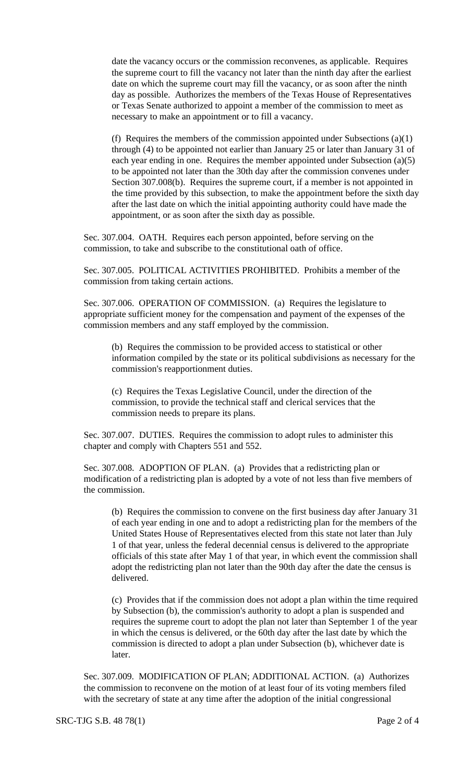date the vacancy occurs or the commission reconvenes, as applicable. Requires the supreme court to fill the vacancy not later than the ninth day after the earliest date on which the supreme court may fill the vacancy, or as soon after the ninth day as possible. Authorizes the members of the Texas House of Representatives or Texas Senate authorized to appoint a member of the commission to meet as necessary to make an appointment or to fill a vacancy.

(f) Requires the members of the commission appointed under Subsections (a)(1) through (4) to be appointed not earlier than January 25 or later than January 31 of each year ending in one. Requires the member appointed under Subsection (a)(5) to be appointed not later than the 30th day after the commission convenes under Section 307.008(b). Requires the supreme court, if a member is not appointed in the time provided by this subsection, to make the appointment before the sixth day after the last date on which the initial appointing authority could have made the appointment, or as soon after the sixth day as possible.

Sec. 307.004. OATH. Requires each person appointed, before serving on the commission, to take and subscribe to the constitutional oath of office.

Sec. 307.005. POLITICAL ACTIVITIES PROHIBITED. Prohibits a member of the commission from taking certain actions.

Sec. 307.006. OPERATION OF COMMISSION. (a) Requires the legislature to appropriate sufficient money for the compensation and payment of the expenses of the commission members and any staff employed by the commission.

(b) Requires the commission to be provided access to statistical or other information compiled by the state or its political subdivisions as necessary for the commission's reapportionment duties.

(c) Requires the Texas Legislative Council, under the direction of the commission, to provide the technical staff and clerical services that the commission needs to prepare its plans.

Sec. 307.007. DUTIES. Requires the commission to adopt rules to administer this chapter and comply with Chapters 551 and 552.

Sec. 307.008. ADOPTION OF PLAN. (a) Provides that a redistricting plan or modification of a redistricting plan is adopted by a vote of not less than five members of the commission.

(b) Requires the commission to convene on the first business day after January 31 of each year ending in one and to adopt a redistricting plan for the members of the United States House of Representatives elected from this state not later than July 1 of that year, unless the federal decennial census is delivered to the appropriate officials of this state after May 1 of that year, in which event the commission shall adopt the redistricting plan not later than the 90th day after the date the census is delivered.

(c) Provides that if the commission does not adopt a plan within the time required by Subsection (b), the commission's authority to adopt a plan is suspended and requires the supreme court to adopt the plan not later than September 1 of the year in which the census is delivered, or the 60th day after the last date by which the commission is directed to adopt a plan under Subsection (b), whichever date is later.

Sec. 307.009. MODIFICATION OF PLAN; ADDITIONAL ACTION. (a) Authorizes the commission to reconvene on the motion of at least four of its voting members filed with the secretary of state at any time after the adoption of the initial congressional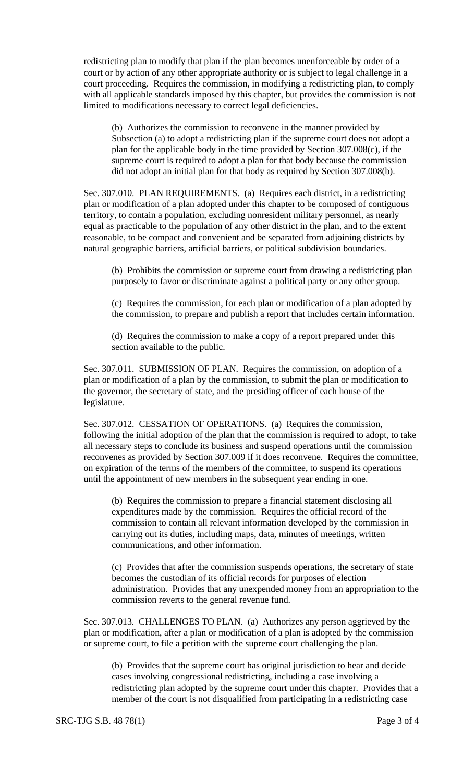redistricting plan to modify that plan if the plan becomes unenforceable by order of a court or by action of any other appropriate authority or is subject to legal challenge in a court proceeding. Requires the commission, in modifying a redistricting plan, to comply with all applicable standards imposed by this chapter, but provides the commission is not limited to modifications necessary to correct legal deficiencies.

(b) Authorizes the commission to reconvene in the manner provided by Subsection (a) to adopt a redistricting plan if the supreme court does not adopt a plan for the applicable body in the time provided by Section 307.008(c), if the supreme court is required to adopt a plan for that body because the commission did not adopt an initial plan for that body as required by Section 307.008(b).

Sec. 307.010. PLAN REQUIREMENTS. (a) Requires each district, in a redistricting plan or modification of a plan adopted under this chapter to be composed of contiguous territory, to contain a population, excluding nonresident military personnel, as nearly equal as practicable to the population of any other district in the plan, and to the extent reasonable, to be compact and convenient and be separated from adjoining districts by natural geographic barriers, artificial barriers, or political subdivision boundaries.

(b) Prohibits the commission or supreme court from drawing a redistricting plan purposely to favor or discriminate against a political party or any other group.

(c) Requires the commission, for each plan or modification of a plan adopted by the commission, to prepare and publish a report that includes certain information.

(d) Requires the commission to make a copy of a report prepared under this section available to the public.

Sec. 307.011. SUBMISSION OF PLAN. Requires the commission, on adoption of a plan or modification of a plan by the commission, to submit the plan or modification to the governor, the secretary of state, and the presiding officer of each house of the legislature.

Sec. 307.012. CESSATION OF OPERATIONS. (a) Requires the commission, following the initial adoption of the plan that the commission is required to adopt, to take all necessary steps to conclude its business and suspend operations until the commission reconvenes as provided by Section 307.009 if it does reconvene. Requires the committee, on expiration of the terms of the members of the committee, to suspend its operations until the appointment of new members in the subsequent year ending in one.

(b) Requires the commission to prepare a financial statement disclosing all expenditures made by the commission. Requires the official record of the commission to contain all relevant information developed by the commission in carrying out its duties, including maps, data, minutes of meetings, written communications, and other information.

(c) Provides that after the commission suspends operations, the secretary of state becomes the custodian of its official records for purposes of election administration. Provides that any unexpended money from an appropriation to the commission reverts to the general revenue fund.

Sec. 307.013. CHALLENGES TO PLAN. (a) Authorizes any person aggrieved by the plan or modification, after a plan or modification of a plan is adopted by the commission or supreme court, to file a petition with the supreme court challenging the plan.

(b) Provides that the supreme court has original jurisdiction to hear and decide cases involving congressional redistricting, including a case involving a redistricting plan adopted by the supreme court under this chapter. Provides that a member of the court is not disqualified from participating in a redistricting case